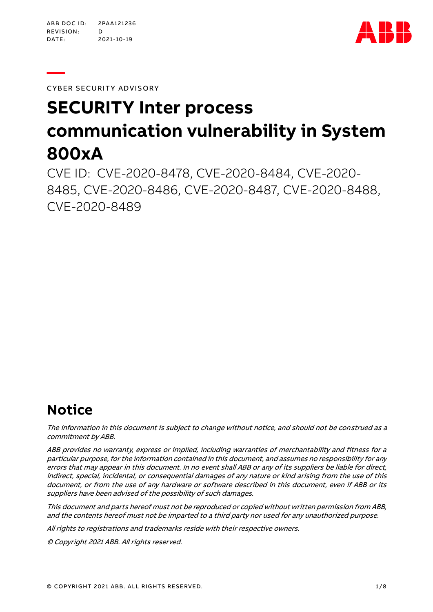**—** 



CYBER SECURITY ADVISORY

# **SECURITY Inter process communication vulnerability in System 800xA**

CVE ID: CVE-2020-8478, CVE-2020-8484, CVE-2020- 8485, CVE-2020-8486, CVE-2020-8487, CVE-2020-8488, CVE-2020-8489

# **Notice**

The information in this document is subject to change without notice, and should not be construed as a commitment by ABB.

ABB provides no warranty, express or implied, including warranties of merchantability and fitness for a particular purpose, for the information contained in this document, and assumes no responsibility for any errors that may appear in this document. In no event shall ABB or any of its suppliers be liable for direct, indirect, special, incidental, or consequential damages of any nature or kind arising from the use of this document, or from the use of any hardware or software described in this document, even if ABB or its suppliers have been advised of the possibility of such damages.

This document and parts hereof must not be reproduced or copied without written permission from ABB, and the contents hereof must not be imparted to a third party nor used for any unauthorized purpose.

All rights to registrations and trademarks reside with their respective owners.

© Copyright 2021ABB. All rights reserved.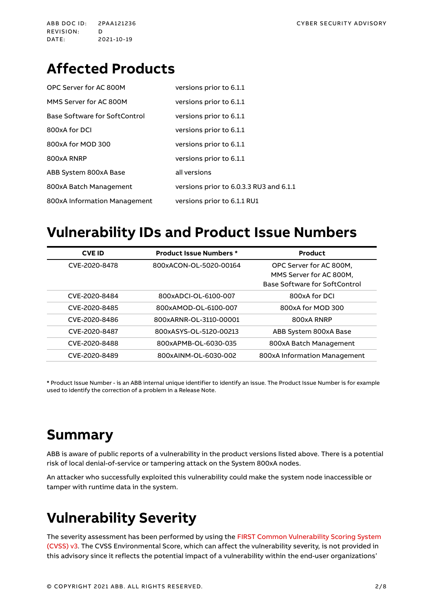# **Affected Products**

| OPC Server for AC 800M        | versions prior to 6.1.1                 |
|-------------------------------|-----------------------------------------|
| MMS Server for AC 800M        | versions prior to 6.1.1                 |
| Base Software for SoftControl | versions prior to 6.1.1                 |
| 800xA for DCI                 | versions prior to 6.1.1                 |
| 800xA for MOD 300             | versions prior to 6.1.1                 |
| 800xA RNRP                    | versions prior to 6.1.1                 |
| ABB System 800xA Base         | all versions                            |
| 800xA Batch Management        | versions prior to 6.0.3.3 RU3 and 6.1.1 |
| 800xA Information Management  | versions prior to 6.1.1 RU1             |

### **Vulnerability IDs and Product Issue Numbers**

| <b>CVE ID</b> | <b>Product Issue Numbers *</b> | Product                       |  |
|---------------|--------------------------------|-------------------------------|--|
| CVE-2020-8478 | 800xACON-OL-5020-00164         | OPC Server for AC 800M,       |  |
|               |                                | MMS Server for AC 800M,       |  |
|               |                                | Base Software for SoftControl |  |
| CVE-2020-8484 | 800xADCI-OL-6100-007           | 800xA for DCI                 |  |
| CVE-2020-8485 | 800xAMOD-OL-6100-007           | 800xA for MOD 300             |  |
| CVE-2020-8486 | 800xARNR-OL-3110-00001         | 800xA RNRP                    |  |
| CVE-2020-8487 | 800xASYS-OL-5120-00213         | ABB System 800xA Base         |  |
| CVE-2020-8488 | 800xAPMB-OL-6030-035           | 800xA Batch Management        |  |
| CVE-2020-8489 | 800xAINM-OL-6030-002           | 800xA Information Management  |  |

**\*** Product Issue Number - is an ABB internal unique identifier to identify an issue. The Product Issue Number is for example used to identify the correction of a problem in a Release Note.

# **Summary**

ABB is aware of public reports of a vulnerability in the product versions listed above. There is a potential risk of local denial-of-service or tampering attack on the System 800xA nodes.

An attacker who successfully exploited this vulnerability could make the system node inaccessible or tamper with runtime data in the system.

# **Vulnerability Severity**

The severity assessment has been performed by using the [FIRST Common Vulnerability Scoring System](https://www.first.org/cvss/v3.0/specification-document) [\(CVSS\) v3.](https://www.first.org/cvss/v3.0/specification-document) The CVSS Environmental Score, which can affect the vulnerability severity, is not provided in this advisory since it reflects the potential impact of a vulnerability within the end-user organizations'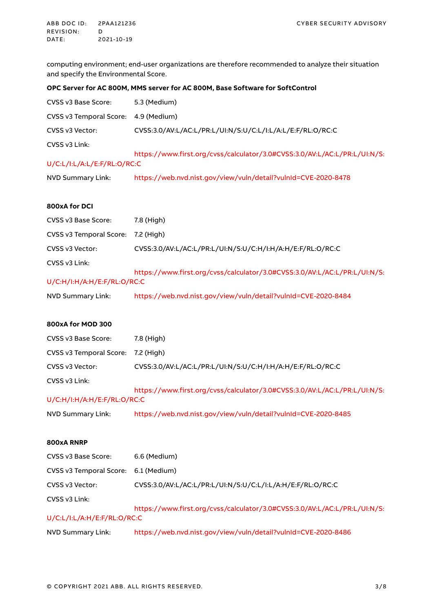computing environment; end-user organizations are therefore recommended to analyze their situation and specify the Environmental Score.

#### **OPC Server for AC 800M, MMS server for AC 800M, Base Software for SoftControl**

| CVSS v3 Base Score:         | 5.3 (Medium)                                                              |
|-----------------------------|---------------------------------------------------------------------------|
| CVSS v3 Temporal Score:     | 4.9 (Medium)                                                              |
| CVSS v3 Vector:             | CVSS:3.0/AV:L/AC:L/PR:L/UI:N/S:U/C:L/I:L/A:L/E:F/RL:O/RC:C                |
| CVSS v3 Link:               | https://www.first.org/cvss/calculator/3.0#CVSS:3.0/AV:L/AC:L/PR:L/UI:N/S: |
| U/C:L/I:L/A:L/E:F/RL:O/RC:C |                                                                           |
| NVD Summary Link:           | https://web.nvd.nist.gov/view/vuln/detail?vulnId=CVE-2020-8478            |

#### **800xA for DCI**

| CVSS v3 Base Score:                | 7.8 (High)                                                                |
|------------------------------------|---------------------------------------------------------------------------|
| CVSS v3 Temporal Score: 7.2 (High) |                                                                           |
| CVSS v3 Vector:                    | CVSS:3.0/AV:L/AC:L/PR:L/UI:N/S:U/C:H/I:H/A:H/E:F/RL:O/RC:C                |
| CVSS v3 Link:                      |                                                                           |
|                                    | https://www.first.org/cvss/calculator/3.0#CVSS:3.0/AV:L/AC:L/PR:L/UI:N/S: |
| U/C:H/I:H/A:H/E: F/RL:O/RC:C       |                                                                           |
| NVD Summary Link:                  | https://web.nvd.nist.gov/view/vuln/detail?vulnId=CVE-2020-8484            |

#### **800xA for MOD 300**

| CVSS v3 Base Score:         | 7.8 (High)                                                                |
|-----------------------------|---------------------------------------------------------------------------|
| CVSS v3 Temporal Score:     | 7.2 (High)                                                                |
| CVSS v3 Vector:             | CVSS:3.0/AV:L/AC:L/PR:L/UI:N/S:U/C:H/I:H/A:H/E:F/RL:O/RC:C                |
| CVSS v3 Link:               | https://www.first.org/cvss/calculator/3.0#CVSS:3.0/AV:L/AC:L/PR:L/UI:N/S: |
| U/C:H/I:H/A:H/E:F/RL:O/RC:C |                                                                           |
| NVD Summary Link:           | https://web.nvd.nist.gov/view/vuln/detail?vulnId=CVE-2020-8485            |

#### **800xA RNRP**

| CVSS v3 Base Score:         | 6.6 (Medium)                                                              |  |  |
|-----------------------------|---------------------------------------------------------------------------|--|--|
| CVSS v3 Temporal Score:     | 6.1 (Medium)                                                              |  |  |
| CVSS v3 Vector:             | CVSS:3.0/AV:L/AC:L/PR:L/UI:N/S:U/C:L/I:L/A:H/E:F/RL:O/RC:C                |  |  |
| CVSS v3 Link:               | https://www.first.org/cvss/calculator/3.0#CVSS:3.0/AV:L/AC:L/PR:L/UI:N/S: |  |  |
| U/C:L/I:L/A:H/E:F/RL:O/RC:C |                                                                           |  |  |
| NVD Summary Link:           | https://web.nvd.nist.gov/view/vuln/detail?vulnId=CVE-2020-8486            |  |  |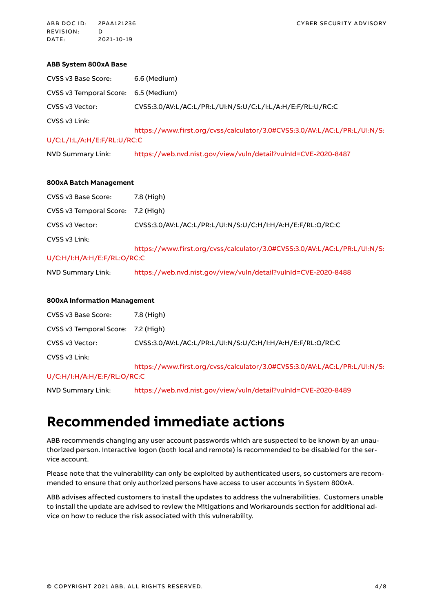ABB DOC ID: 2PAA121236 CYBER SECURITY ADVISORY REVISION: D<br>DATE: 20 DATE: 2021-10-19

#### **ABB System 800xA Base**

| CVSS v3 Base Score:                  | 6.6 (Medium)                                                              |
|--------------------------------------|---------------------------------------------------------------------------|
| CVSS v3 Temporal Score: 6.5 (Medium) |                                                                           |
| CVSS v3 Vector:                      | CVSS:3.0/AV:L/AC:L/PR:L/UI:N/S:U/C:L/I:L/A:H/E:F/RL:U/RC:C                |
| CVSS v3 Link:                        |                                                                           |
|                                      | https://www.first.org/cvss/calculator/3.0#CVSS:3.0/AV:L/AC:L/PR:L/UI:N/S: |
| U/C:L/I:L/A:H/E:F/RL:U/RC:C          |                                                                           |
| NVD Summary Link:                    | https://web.nvd.nist.gov/view/vuln/detail?vulnId=CVE-2020-8487            |

#### **800xA Batch Management**

| CVSS v3 Base Score:          | 7.8 (High)                                                                |  |  |
|------------------------------|---------------------------------------------------------------------------|--|--|
| CVSS v3 Temporal Score:      | 7.2 (High)                                                                |  |  |
| CVSS v3 Vector:              | CVSS:3.0/AV:L/AC:L/PR:L/UI:N/S:U/C:H/I:H/A:H/E:F/RL:O/RC:C                |  |  |
| CVSS v3 Link:                |                                                                           |  |  |
|                              | https://www.first.org/cvss/calculator/3.0#CVSS:3.0/AV:L/AC:L/PR:L/UI:N/S: |  |  |
| U/C:H/I:H/A:H/E: F/RL:O/RC:C |                                                                           |  |  |
| NVD Summary Link:            | https://web.nvd.nist.gov/view/vuln/detail?vulnId=CVE-2020-8488            |  |  |

#### **800xA Information Management**

| CVSS v3 Base Score:                | 7.8 (High)                                                                |
|------------------------------------|---------------------------------------------------------------------------|
| CVSS v3 Temporal Score: 7.2 (High) |                                                                           |
| CVSS v3 Vector:                    | CVSS:3.0/AV:L/AC:L/PR:L/UI:N/S:U/C:H/I:H/A:H/E:F/RL:O/RC:C                |
| CVSS v3 Link:                      |                                                                           |
|                                    | https://www.first.org/cvss/calculator/3.0#CVSS:3.0/AV:L/AC:L/PR:L/UI:N/S: |
| U/C:H/I:H/A:H/E: F/RL:O/RC:C       |                                                                           |

NVD Summary Link: <https://web.nvd.nist.gov/view/vuln/detail?vulnId=CVE-2020-8489>

# **Recommended immediate actions**

ABB recommends changing any user account passwords which are suspected to be known by an unauthorized person. Interactive logon (both local and remote) is recommended to be disabled for the service account.

Please note that the vulnerability can only be exploited by authenticated users, so customers are recommended to ensure that only authorized persons have access to user accounts in System 800xA.

ABB advises affected customers to install the updates to address the vulnerabilities. Customers unable to install the update are advised to review the Mitigations and Workarounds section for additional advice on how to reduce the risk associated with this vulnerability.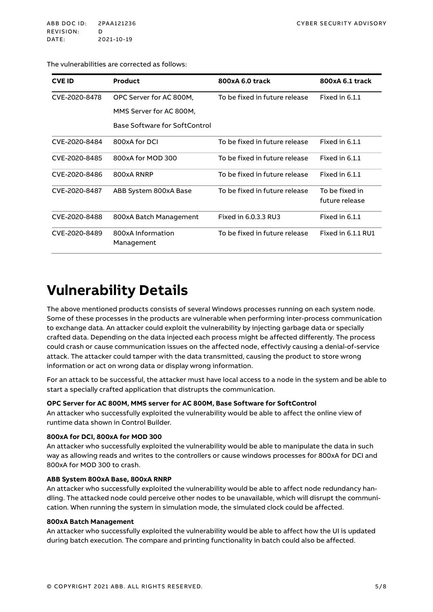#### <span id="page-4-0"></span>The vulnerabilities are corrected as follows:

| <b>CVE ID</b> | <b>Product</b>                  | 800xA 6.0 track               | 800xA 6.1 track                  |
|---------------|---------------------------------|-------------------------------|----------------------------------|
| CVE-2020-8478 | OPC Server for AC 800M.         | To be fixed in future release | Fixed in 6.1.1                   |
|               | MMS Server for AC 800M,         |                               |                                  |
|               | Base Software for SoftControl   |                               |                                  |
| CVE-2020-8484 | 800xA for DCI                   | To be fixed in future release | Fixed in 6.1.1                   |
| CVE-2020-8485 | 800xA for MOD 300               | To be fixed in future release | Fixed in 6.1.1                   |
| CVE-2020-8486 | 800xA RNRP                      | To be fixed in future release | Fixed in 6.1.1                   |
| CVE-2020-8487 | ABB System 800xA Base           | To be fixed in future release | To be fixed in<br>future release |
| CVE-2020-8488 | 800xA Batch Management          | Fixed in 6.0.3.3 RU3          | Fixed in 6.1.1                   |
| CVE-2020-8489 | 800xA Information<br>Management | To be fixed in future release | Fixed in 6.1.1 RU1               |

### **Vulnerability Details**

The above mentioned products consists of several Windows processes running on each system node. Some of these processes in the products are vulnerable when performing inter-process communication to exchange data. An attacker could exploit the vulnerability by injecting garbage data or specially crafted data. Depending on the data injected each process might be affected differently. The process could crash or cause communication issues on the affected node, effectivly causing a denial-of-service attack. The attacker could tamper with the data transmitted, causing the product to store wrong information or act on wrong data or display wrong information.

For an attack to be successful, the attacker must have local access to a node in the system and be able to start a specially crafted application that distrupts the communication.

#### **OPC Server for AC 800M, MMS server for AC 800M, Base Software for SoftControl**

An attacker who successfully exploited the vulnerability would be able to affect the online view of runtime data shown in Control Builder.

#### **800xA for DCI, 800xA for MOD 300**

An attacker who successfully exploited the vulnerability would be able to manipulate the data in such way as allowing reads and writes to the controllers or cause windows processes for 800xA for DCI and 800xA for MOD 300 to crash.

#### **ABB System 800xA Base, 800xA RNRP**

An attacker who successfully exploited the vulnerability would be able to affect node redundancy handling. The attacked node could perceive other nodes to be unavailable, which will disrupt the communication. When running the system in simulation mode, the simulated clock could be affected.

#### **800xA Batch Management**

An attacker who successfully exploited the vulnerability would be able to affect how the UI is updated during batch execution. The compare and printing functionality in batch could also be affected.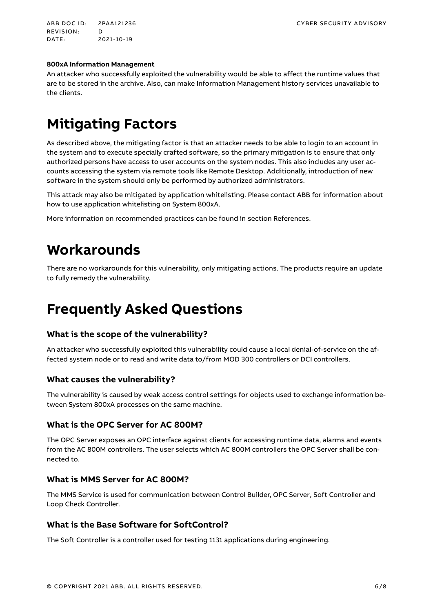ABB DOC ID: 2PAA121236 CYBER SECURITY ADVISORY REVISION: D<br>DATE: 20 DATE: 2021-10-19

#### **800xA Information Management**

An attacker who successfully exploited the vulnerability would be able to affect the runtime values that are to be stored in the archive. Also, can make Information Management history services unavailable to the clients.

# **Mitigating Factors**

As described above, the mitigating factor is that an attacker needs to be able to login to an account in the system and to execute specially crafted software, so the primary mitigation is to ensure that only authorized persons have access to user accounts on the system nodes. This also includes any user accounts accessing the system via remote tools like Remote Desktop. Additionally, introduction of new software in the system should only be performed by authorized administrators.

This attack may also be mitigated by application whitelisting. Please contact ABB for information about how to use application whitelisting on System 800xA.

More information on recommended practices can be found in section [References.](#page-7-0)

### **Workarounds**

There are no workarounds for this vulnerability, only mitigating actions. The products require an update to fully remedy the vulnerability.

# **Frequently Asked Questions**

#### **What is the scope of the vulnerability?**

An attacker who successfully exploited this vulnerability could cause a local denial-of-service on the affected system node or to read and write data to/from MOD 300 controllers or DCI controllers.

#### **What causes the vulnerability?**

The vulnerability is caused by weak access control settings for objects used to exchange information between System 800xA processes on the same machine.

#### **What is the OPC Server for AC 800M?**

The OPC Server exposes an OPC interface against clients for accessing runtime data, alarms and events from the AC 800M controllers. The user selects which AC 800M controllers the OPC Server shall be connected to.

#### **What is MMS Server for AC 800M?**

The MMS Service is used for communication between Control Builder, OPC Server, Soft Controller and Loop Check Controller.

#### **What is the Base Software for SoftControl?**

The Soft Controller is a controller used for testing 1131 applications during engineering.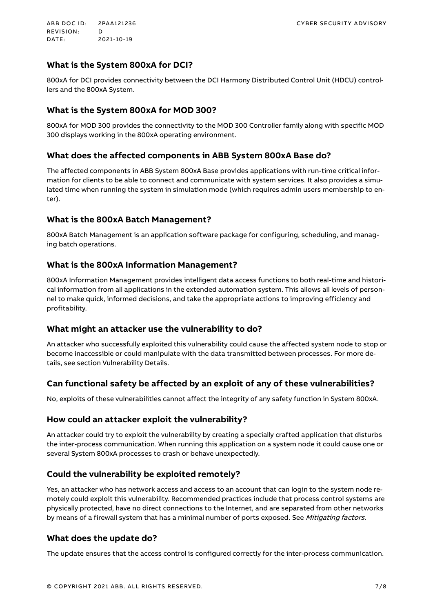### **What is the System 800xA for DCI?**

800xA for DCI provides connectivity between the DCI Harmony Distributed Control Unit (HDCU) controllers and the 800xA System.

### **What is the System 800xA for MOD 300?**

800xA for MOD 300 provides the connectivity to the MOD 300 Controller family along with specific MOD 300 displays working in the 800xA operating environment.

### **What does the affected components in ABB System 800xA Base do?**

The affected components in ABB System 800xA Base provides applications with run-time critical information for clients to be able to connect and communicate with system services. It also provides a simulated time when running the system in simulation mode (which requires admin users membership to enter).

### **What is the 800xA Batch Management?**

800xA Batch Management is an application software package for configuring, scheduling, and managing batch operations.

### **What is the 800xA Information Management?**

800xA Information Management provides intelligent data access functions to both real-time and historical information from all applications in the extended automation system. This allows all levels of personnel to make quick, informed decisions, and take the appropriate actions to improving efficiency and profitability.

### **What might an attacker use the vulnerability to do?**

An attacker who successfully exploited this vulnerability could cause the affected system node to stop or become inaccessible or could manipulate with the data transmitted between processes. For more details, see section [Vulnerability Details.](#page-4-0)

### **Can functional safety be affected by an exploit of any of these vulnerabilities?**

No, exploits of these vulnerabilities cannot affect the integrity of any safety function in System 800xA.

### **How could an attacker exploit the vulnerability?**

An attacker could try to exploit the vulnerability by creating a specially crafted application that disturbs the inter-process communication. When running this application on a system node it could cause one or several System 800xA processes to crash or behave unexpectedly.

### **Could the vulnerability be exploited remotely?**

Yes, an attacker who has network access and access to an account that can login to the system node remotely could exploit this vulnerability. Recommended practices include that process control systems are physically protected, have no direct connections to the Internet, and are separated from other networks by means of a firewall system that has a minimal number of ports exposed. See Mitigating factors.

### **What does the update do?**

The update ensures that the access control is configured correctly for the inter-process communication.